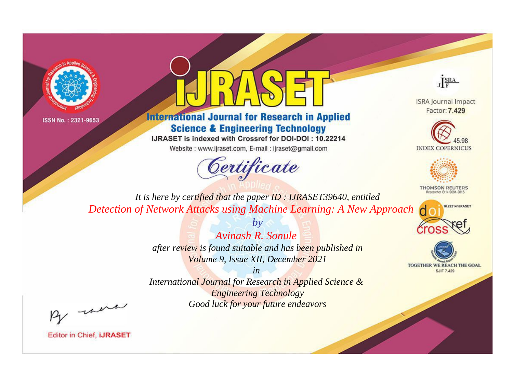



**International Journal for Research in Applied Science & Engineering Technology** 

IJRASET is indexed with Crossref for DOI-DOI: 10.22214

Website: www.ijraset.com, E-mail: ijraset@gmail.com



JERA

**ISRA Journal Impact** Factor: 7.429





**THOMSON REUTERS** 



TOGETHER WE REACH THE GOAL **SJIF 7.429** 

It is here by certified that the paper ID: IJRASET39640, entitled Detection of Network Attacks using Machine Learning: A New Approach

> **Avinash R. Sonule** after review is found suitable and has been published in Volume 9, Issue XII, December 2021

 $b\nu$ 

 $in$ International Journal for Research in Applied Science & **Engineering Technology** Good luck for your future endeavors

By morn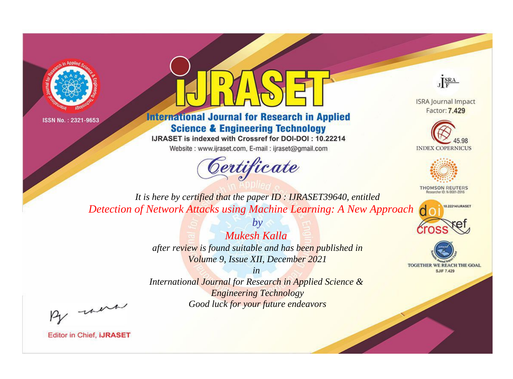



**International Journal for Research in Applied Science & Engineering Technology** 

IJRASET is indexed with Crossref for DOI-DOI: 10.22214

Website: www.ijraset.com, E-mail: ijraset@gmail.com



JERA

**ISRA Journal Impact** Factor: 7.429





**THOMSON REUTERS** 



TOGETHER WE REACH THE GOAL **SJIF 7.429** 

It is here by certified that the paper ID: IJRASET39640, entitled Detection of Network Attacks using Machine Learning: A New Approach

> Mukesh Kalla after review is found suitable and has been published in Volume 9, Issue XII, December 2021

 $b\nu$ 

 $in$ International Journal for Research in Applied Science & **Engineering Technology** Good luck for your future endeavors

By morn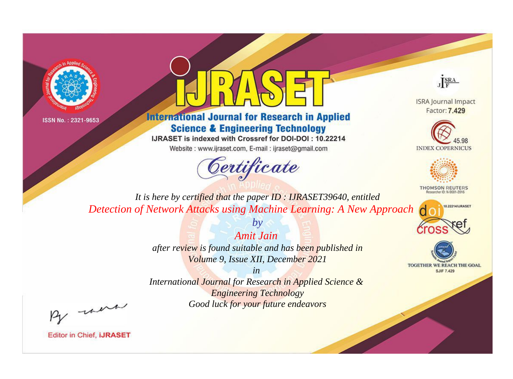



**International Journal for Research in Applied Science & Engineering Technology** 

IJRASET is indexed with Crossref for DOI-DOI: 10.22214

Website: www.ijraset.com, E-mail: ijraset@gmail.com



JERA

**ISRA Journal Impact** Factor: 7.429





**THOMSON REUTERS** 



TOGETHER WE REACH THE GOAL **SJIF 7.429** 

It is here by certified that the paper ID: IJRASET39640, entitled Detection of Network Attacks using Machine Learning: A New Approach

> **Amit Jain** after review is found suitable and has been published in Volume 9, Issue XII, December 2021

 $b\nu$ 

 $in$ International Journal for Research in Applied Science & **Engineering Technology** Good luck for your future endeavors

By morn